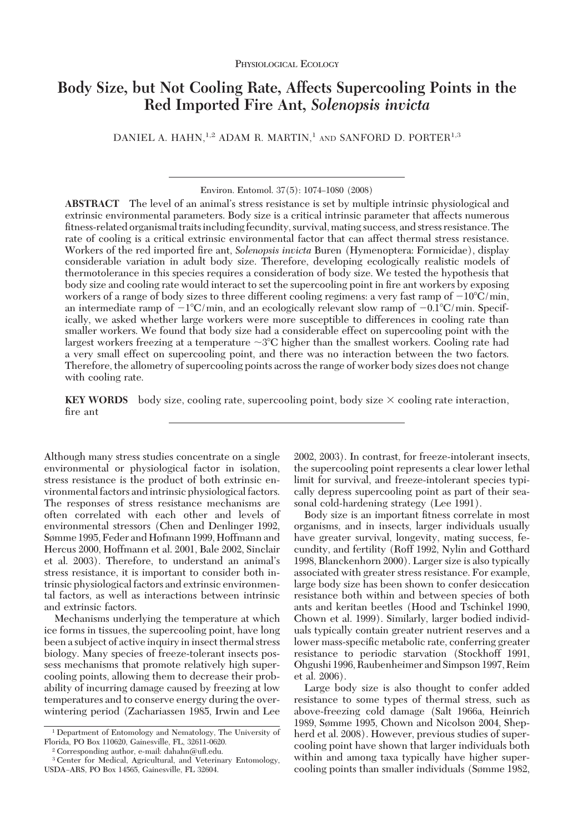# **Body Size, but Not Cooling Rate, Affects Supercooling Points in the Red Imported Fire Ant,** *Solenopsis invicta*

DANIEL A. HAHN,<sup>1,2</sup> ADAM R. MARTIN,<sup>1</sup> AND SANFORD D. PORTER<sup>1,3</sup>

Environ. Entomol. 37(5): 1074-1080 (2008)

**ABSTRACT** The level of an animal's stress resistance is set by multiple intrinsic physiological and extrinsic environmental parameters. Body size is a critical intrinsic parameter that affects numerous fitness-related organismal traits including fecundity, survival, mating success, and stress resistance. The rate of cooling is a critical extrinsic environmental factor that can affect thermal stress resistance. Workers of the red imported Þre ant, *Solenopsis invicta* Buren (Hymenoptera: Formicidae), display considerable variation in adult body size. Therefore, developing ecologically realistic models of thermotolerance in this species requires a consideration of body size. We tested the hypothesis that body size and cooling rate would interact to set the supercooling point in fire ant workers by exposing workers of a range of body sizes to three different cooling regimens: a very fast ramp of  $-10^{\circ}\text{C/min}$ , an intermediate ramp of  $-1^{\circ}C/\text{min}$ , and an ecologically relevant slow ramp of  $-0.1^{\circ}C/\text{min}$ . Specifically, we asked whether large workers were more susceptible to differences in cooling rate than smaller workers. We found that body size had a considerable effect on supercooling point with the largest workers freezing at a temperature  ${\sim}3^{\circ}\text{C}$  higher than the smallest workers. Cooling rate had a very small effect on supercooling point, and there was no interaction between the two factors. Therefore, the allometry of supercooling points across the range of worker body sizes does not change with cooling rate.

**KEY WORDS** body size, cooling rate, supercooling point, body size  $\times$  cooling rate interaction, fire ant

Although many stress studies concentrate on a single environmental or physiological factor in isolation, stress resistance is the product of both extrinsic environmental factors and intrinsic physiological factors. The responses of stress resistance mechanisms are often correlated with each other and levels of environmental stressors (Chen and Denlinger 1992, Sømme 1995, Feder and Hofmann 1999, Hoffmann and Hercus 2000, Hoffmann et al. 2001, Bale 2002, Sinclair et al. 2003). Therefore, to understand an animal's stress resistance, it is important to consider both intrinsic physiological factors and extrinsic environmental factors, as well as interactions between intrinsic and extrinsic factors.

Mechanisms underlying the temperature at which ice forms in tissues, the supercooling point, have long been a subject of active inquiry in insect thermal stress biology. Many species of freeze-tolerant insects possess mechanisms that promote relatively high supercooling points, allowing them to decrease their probability of incurring damage caused by freezing at low temperatures and to conserve energy during the overwintering period (Zachariassen 1985, Irwin and Lee

2002, 2003). In contrast, for freeze-intolerant insects, the supercooling point represents a clear lower lethal limit for survival, and freeze-intolerant species typically depress supercooling point as part of their seasonal cold-hardening strategy (Lee 1991).

Body size is an important fitness correlate in most organisms, and in insects, larger individuals usually have greater survival, longevity, mating success, fecundity, and fertility (Roff 1992, Nylin and Gotthard 1998, Blanckenhorn 2000). Larger size is also typically associated with greater stress resistance. For example, large body size has been shown to confer desiccation resistance both within and between species of both ants and keritan beetles (Hood and Tschinkel 1990, Chown et al. 1999). Similarly, larger bodied individuals typically contain greater nutrient reserves and a lower mass-specific metabolic rate, conferring greater resistance to periodic starvation (Stockhoff 1991, Ohgushi 1996, Raubenheimer and Simpson 1997, Reim et al. 2006).

Large body size is also thought to confer added resistance to some types of thermal stress, such as above-freezing cold damage (Salt 1966a, Heinrich 1989, Sømme 1995, Chown and Nicolson 2004, Shepherd et al. 2008). However, previous studies of supercooling point have shown that larger individuals both within and among taxa typically have higher supercooling points than smaller individuals (Sømme 1982,

<sup>1</sup> Department of Entomology and Nematology, The University of Florida, PO Box 110620, Gainesville, FL, 32611-0620.

<sup>2</sup> Corresponding author, e-mail: dahahn@uß.edu.

<sup>3</sup> Center for Medical, Agricultural, and Veterinary Entomology, USDA-ARS, PO Box 14565, Gainesville, FL 32604.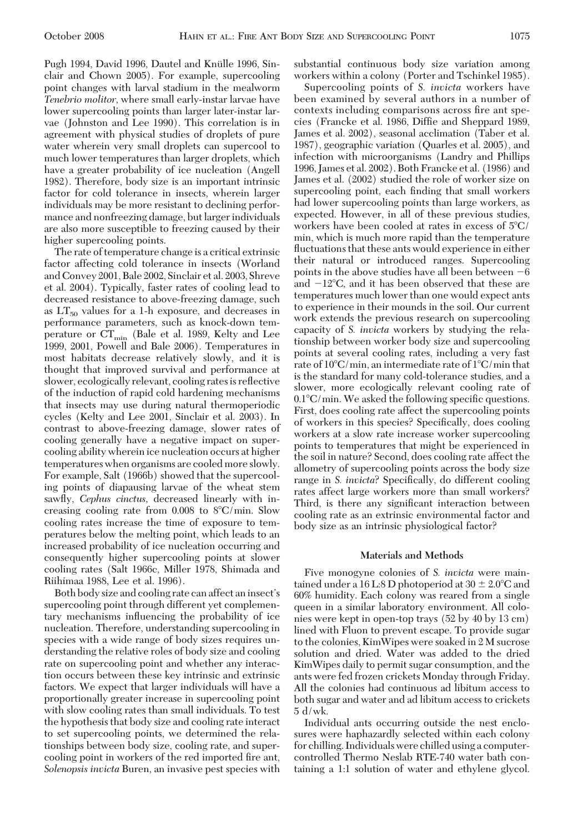Pugh 1994, David 1996, Dautel and Knülle 1996, Sinclair and Chown 2005). For example, supercooling point changes with larval stadium in the mealworm *Tenebrio molitor,* where small early-instar larvae have lower supercooling points than larger later-instar larvae (Johnston and Lee 1990). This correlation is in agreement with physical studies of droplets of pure water wherein very small droplets can supercool to much lower temperatures than larger droplets, which have a greater probability of ice nucleation (Angell 1982). Therefore, body size is an important intrinsic factor for cold tolerance in insects, wherein larger individuals may be more resistant to declining performance and nonfreezing damage, but larger individuals are also more susceptible to freezing caused by their higher supercooling points.

The rate of temperature change is a critical extrinsic factor affecting cold tolerance in insects (Worland and Convey 2001, Bale 2002, Sinclair et al. 2003, Shreve et al. 2004). Typically, faster rates of cooling lead to decreased resistance to above-freezing damage, such as  $LT_{50}$  values for a 1-h exposure, and decreases in performance parameters, such as knock-down temperature or  $CT_{\text{min}}$  (Bale et al. 1989, Kelty and Lee 1999, 2001, Powell and Bale 2006). Temperatures in most habitats decrease relatively slowly, and it is thought that improved survival and performance at slower, ecologically relevant, cooling rates is reßective of the induction of rapid cold hardening mechanisms that insects may use during natural thermoperiodic cycles (Kelty and Lee 2001, Sinclair et al. 2003). In contrast to above-freezing damage, slower rates of cooling generally have a negative impact on supercooling ability wherein ice nucleation occurs at higher temperatures when organisms are cooled more slowly. For example, Salt (1966b) showed that the supercooling points of diapausing larvae of the wheat stem sawßy, *Cephus cinctus,* decreased linearly with increasing cooling rate from  $0.008$  to  $8^{\circ}C/\text{min}$ . Slow cooling rates increase the time of exposure to temperatures below the melting point, which leads to an increased probability of ice nucleation occurring and consequently higher supercooling points at slower cooling rates (Salt 1966c, Miller 1978, Shimada and Riihimaa 1988, Lee et al. 1996).

Both body size and cooling rate can affect an insect's supercooling point through different yet complementary mechanisms inßuencing the probability of ice nucleation. Therefore, understanding supercooling in species with a wide range of body sizes requires understanding the relative roles of body size and cooling rate on supercooling point and whether any interaction occurs between these key intrinsic and extrinsic factors. We expect that larger individuals will have a proportionally greater increase in supercooling point with slow cooling rates than small individuals. To test the hypothesis that body size and cooling rate interact to set supercooling points, we determined the relationships between body size, cooling rate, and supercooling point in workers of the red imported fire ant, *Solenopsis invicta* Buren, an invasive pest species with

substantial continuous body size variation among workers within a colony (Porter and Tschinkel 1985).

Supercooling points of *S. invicta* workers have been examined by several authors in a number of contexts including comparisons across fire ant species (Francke et al. 1986, DifÞe and Sheppard 1989, James et al. 2002), seasonal acclimation (Taber et al. 1987), geographic variation (Quarles et al. 2005), and infection with microorganisms (Landry and Phillips 1996, James et al. 2002). Both Francke et al. (1986) and James et al. (2002) studied the role of worker size on supercooling point, each finding that small workers had lower supercooling points than large workers, as expected. However, in all of these previous studies, workers have been cooled at rates in excess of 5°C/ min, which is much more rapid than the temperature ßuctuations that these ants would experience in either their natural or introduced ranges. Supercooling points in the above studies have all been between  $-6$ and  $-12^{\circ}$ C, and it has been observed that these are temperatures much lower than one would expect ants to experience in their mounds in the soil. Our current work extends the previous research on supercooling capacity of *S. invicta* workers by studying the relationship between worker body size and supercooling points at several cooling rates, including a very fast rate of 10°C/min, an intermediate rate of 1°C/min that is the standard for many cold-tolerance studies, and a slower, more ecologically relevant cooling rate of  $0.1^{\circ}$ C/min. We asked the following specific questions. First, does cooling rate affect the supercooling points of workers in this species? Specifically, does cooling workers at a slow rate increase worker supercooling points to temperatures that might be experienced in the soil in nature? Second, does cooling rate affect the allometry of supercooling points across the body size range in *S. invicta*? Specifically, do different cooling rates affect large workers more than small workers? Third, is there any significant interaction between cooling rate as an extrinsic environmental factor and body size as an intrinsic physiological factor?

#### **Materials and Methods**

Five monogyne colonies of *S. invicta* were maintained under a 16 L:8 D photoperiod at 30  $\pm$  2.0°C and 60% humidity. Each colony was reared from a single queen in a similar laboratory environment. All colonies were kept in open-top trays (52 by 40 by 13 cm) lined with Fluon to prevent escape. To provide sugar to the colonies, KimWipes were soaked in 2 M sucrose solution and dried. Water was added to the dried KimWipes daily to permit sugar consumption, and the ants were fed frozen crickets Monday through Friday. All the colonies had continuous ad libitum access to both sugar and water and ad libitum access to crickets 5 d/wk.

Individual ants occurring outside the nest enclosures were haphazardly selected within each colony for chilling. Individuals were chilled using a computercontrolled Thermo Neslab RTE-740 water bath containing a 1:1 solution of water and ethylene glycol.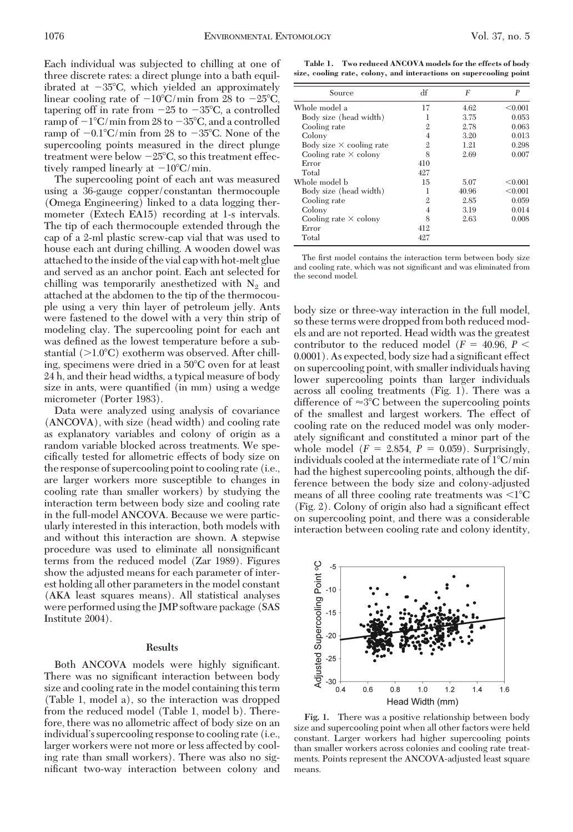Each individual was subjected to chilling at one of three discrete rates: a direct plunge into a bath equilibrated at -35°C, which yielded an approximately linear cooling rate of  $-10^{\circ}$ C/min from 28 to  $-25^{\circ}$ C, tapering off in rate from  $-25$  to  $-35^{\circ}\text{C}$ , a controlled ramp of  $-1^{\circ}\textrm{C}/\textrm{min}$  from 28 to  $-35^{\circ}\textrm{C},$  and a controlled ramp of  $-0.1^{\circ}$ C/min from 28 to  $-35^{\circ}$ C. None of the supercooling points measured in the direct plunge treatment were below  $-25^{\circ}\textrm{C}$ , so this treatment effectively ramped linearly at  $-10^{\circ}$ C/min.

The supercooling point of each ant was measured using a 36-gauge copper/constantan thermocouple (Omega Engineering) linked to a data logging thermometer (Extech EA15) recording at 1-s intervals. The tip of each thermocouple extended through the cap of a 2-ml plastic screw-cap vial that was used to house each ant during chilling. A wooden dowel was attached to the inside of the vial cap with hot-melt glue and served as an anchor point. Each ant selected for chilling was temporarily anesthetized with  $N_2$  and attached at the abdomen to the tip of the thermocouple using a very thin layer of petroleum jelly. Ants were fastened to the dowel with a very thin strip of modeling clay. The supercooling point for each ant was defined as the lowest temperature before a substantial (>1.0°C) exotherm was observed. After chilling, specimens were dried in a 50°C oven for at least 24 h, and their head widths, a typical measure of body size in ants, were quantified (in mm) using a wedge micrometer (Porter 1983).

Data were analyzed using analysis of covariance (ANCOVA), with size (head width) and cooling rate as explanatory variables and colony of origin as a random variable blocked across treatments. We specifically tested for allometric effects of body size on the response of supercooling point to cooling rate (i.e., are larger workers more susceptible to changes in cooling rate than smaller workers) by studying the interaction term between body size and cooling rate in the full-model ANCOVA. Because we were particularly interested in this interaction, both models with and without this interaction are shown. A stepwise procedure was used to eliminate all nonsignificant terms from the reduced model (Zar 1989). Figures show the adjusted means for each parameter of interest holding all other parameters in the model constant (AKA least squares means). All statistical analyses were performed using the JMP software package (SAS Institute 2004).

#### **Results**

Both ANCOVA models were highly significant. There was no significant interaction between body size and cooling rate in the model containing this term (Table 1, model a), so the interaction was dropped from the reduced model (Table 1, model b). Therefore, there was no allometric affect of body size on an individual's supercooling response to cooling rate (i.e., larger workers were not more or less affected by cooling rate than small workers). There was also no significant two-way interaction between colony and

**Table 1. Two reduced ANCOVA models for the effects of body size, cooling rate, colony, and interactions on supercooling point**

| Source                          | df             | F     | $\overline{P}$ |
|---------------------------------|----------------|-------|----------------|
| Whole model a                   | 17             | 4.62  | < 0.001        |
| Body size (head width)          |                | 3.75  | 0.053          |
| Cooling rate                    | $\mathfrak{2}$ | 2.78  | 0.063          |
| Colony                          | 4              | 3.20  | 0.013          |
| Body size $\times$ cooling rate | $\mathfrak{2}$ | 1.21  | 0.298          |
| Cooling rate $\times$ colony    | 8              | 2.69  | 0.007          |
| Error                           | 410            |       |                |
| Total                           | 427            |       |                |
| Whole model b                   | 15             | 5.07  | < 0.001        |
| Body size (head width)          | 1              | 40.96 | < 0.001        |
| Cooling rate                    | $\mathfrak{2}$ | 2.85  | 0.059          |
| Colony                          | 4              | 3.19  | 0.014          |
| Cooling rate $\times$ colony    | 8              | 2.63  | 0.008          |
| Error                           | 412            |       |                |
| Total                           | 427            |       |                |

The first model contains the interaction term between body size and cooling rate, which was not significant and was eliminated from the second model.

body size or three-way interaction in the full model, so these terms were dropped from both reduced models and are not reported. Head width was the greatest contributor to the reduced model ( $F = 40.96, P <$ 0.0001). As expected, body size had a significant effect on supercooling point, with smaller individuals having lower supercooling points than larger individuals across all cooling treatments (Fig. 1). There was a difference of  $\approx 3^{\circ}$ C between the supercooling points of the smallest and largest workers. The effect of cooling rate on the reduced model was only moderately significant and constituted a minor part of the whole model  $(F = 2.854, P = 0.059)$ . Surprisingly, individuals cooled at the intermediate rate of  $1^{\circ}\textrm{C}/\min$ had the highest supercooling points, although the difference between the body size and colony-adjusted means of all three cooling rate treatments was  $\rm {<}1^{\circ}C$ (Fig. 2). Colony of origin also had a significant effect on supercooling point, and there was a considerable interaction between cooling rate and colony identity,



**Fig. 1.** There was a positive relationship between body size and supercooling point when all other factors were held constant. Larger workers had higher supercooling points than smaller workers across colonies and cooling rate treatments. Points represent the ANCOVA-adjusted least square means.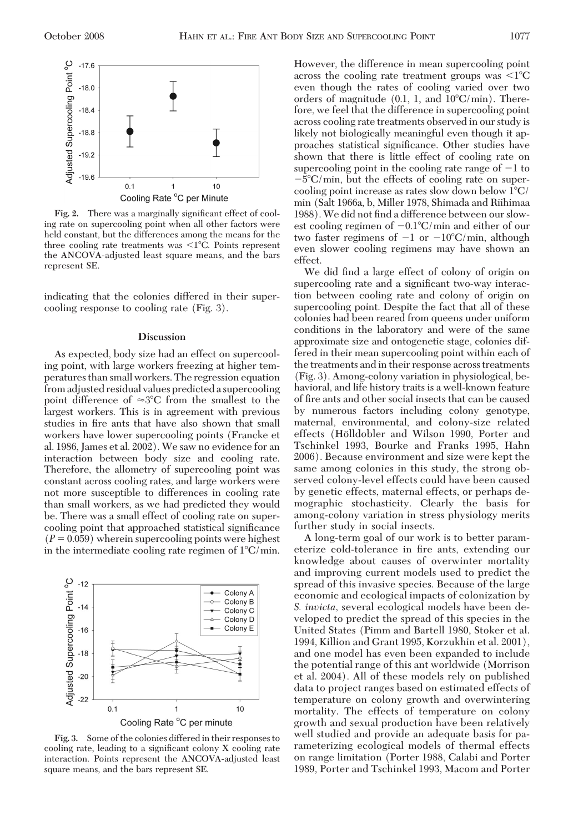

**Fig. 2.** There was a marginally significant effect of cooling rate on supercooling point when all other factors were held constant, but the differences among the means for the three cooling rate treatments was  $\leq l^{\circ}C$ . Points represent the ANCOVA-adjusted least square means, and the bars represent SE.

indicating that the colonies differed in their supercooling response to cooling rate (Fig. 3).

#### **Discussion**

As expected, body size had an effect on supercooling point, with large workers freezing at higher temperatures than small workers. The regression equation from adjusted residual values predicted a supercooling point difference of  $\approx 3^{\circ}$ C from the smallest to the largest workers. This is in agreement with previous studies in fire ants that have also shown that small workers have lower supercooling points (Francke et al. 1986, James et al. 2002). We saw no evidence for an interaction between body size and cooling rate. Therefore, the allometry of supercooling point was constant across cooling rates, and large workers were not more susceptible to differences in cooling rate than small workers, as we had predicted they would be. There was a small effect of cooling rate on supercooling point that approached statistical significance  $(P = 0.059)$  wherein supercooling points were highest in the intermediate cooling rate regimen of  $1^{\circ}$ C/min.



**Fig. 3.** Some of the colonies differed in their responses to cooling rate, leading to a significant colony  $X$  cooling rate interaction. Points represent the ANCOVA-adjusted least square means, and the bars represent SE.

However, the difference in mean supercooling point across the cooling rate treatment groups was  $\leq l^{\circ}C$ even though the rates of cooling varied over two orders of magnitude  $(0.1, 1, \text{ and } 10^{\circ}\text{C/min})$ . Therefore, we feel that the difference in supercooling point across cooling rate treatments observed in our study is likely not biologically meaningful even though it approaches statistical significance. Other studies have shown that there is little effect of cooling rate on supercooling point in the cooling rate range of  $-1$  to  $-5^{\circ}$ C/min, but the effects of cooling rate on supercooling point increase as rates slow down below  $1^{\circ}C/$ min (Salt 1966a, b, Miller 1978, Shimada and Riihimaa 1988). We did not find a difference between our slowest cooling regimen of  $-0.1^{\circ}$ C/min and either of our two faster regimens of  $-1$  or  $-10^{\circ}$ C/min, although even slower cooling regimens may have shown an effect.

We did find a large effect of colony of origin on supercooling rate and a significant two-way interaction between cooling rate and colony of origin on supercooling point. Despite the fact that all of these colonies had been reared from queens under uniform conditions in the laboratory and were of the same approximate size and ontogenetic stage, colonies differed in their mean supercooling point within each of the treatments and in their response across treatments (Fig. 3). Among-colony variation in physiological, behavioral, and life history traits is a well-known feature of fire ants and other social insects that can be caused by numerous factors including colony genotype, maternal, environmental, and colony-size related effects (Hölldobler and Wilson 1990, Porter and Tschinkel 1993, Bourke and Franks 1995, Hahn 2006). Because environment and size were kept the same among colonies in this study, the strong observed colony-level effects could have been caused by genetic effects, maternal effects, or perhaps demographic stochasticity. Clearly the basis for among-colony variation in stress physiology merits further study in social insects.

A long-term goal of our work is to better parameterize cold-tolerance in fire ants, extending our knowledge about causes of overwinter mortality and improving current models used to predict the spread of this invasive species. Because of the large economic and ecological impacts of colonization by *S. invicta,* several ecological models have been developed to predict the spread of this species in the United States (Pimm and Bartell 1980, Stoker et al. 1994, Killion and Grant 1995, Korzukhin et al. 2001), and one model has even been expanded to include the potential range of this ant worldwide (Morrison et al. 2004). All of these models rely on published data to project ranges based on estimated effects of temperature on colony growth and overwintering mortality. The effects of temperature on colony growth and sexual production have been relatively well studied and provide an adequate basis for parameterizing ecological models of thermal effects on range limitation (Porter 1988, Calabi and Porter 1989, Porter and Tschinkel 1993, Macom and Porter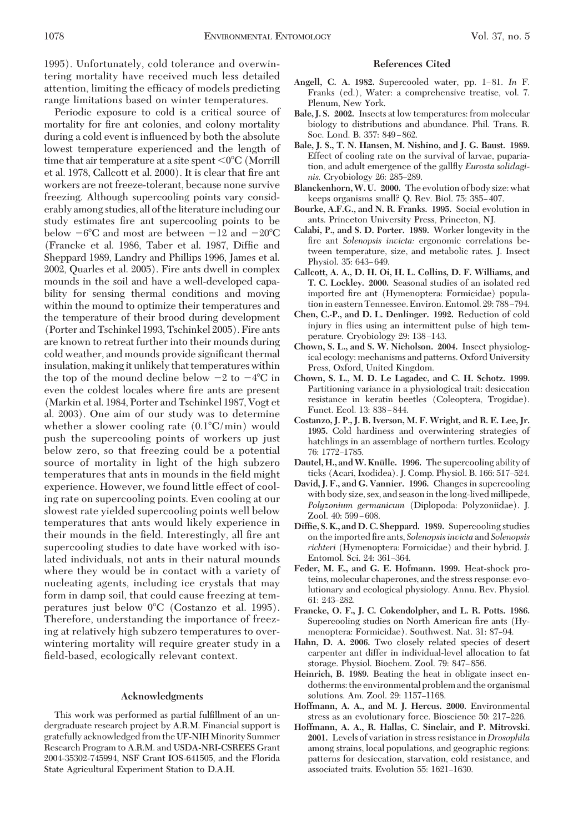1995). Unfortunately, cold tolerance and overwintering mortality have received much less detailed attention, limiting the efficacy of models predicting range limitations based on winter temperatures.

Periodic exposure to cold is a critical source of mortality for fire ant colonies, and colony mortality during a cold event is inßuenced by both the absolute lowest temperature experienced and the length of time that air temperature at a site spent  $\mathsf{<}0^\circ\mathsf{C}$  (Morrill et al. 1978, Callcott et al. 2000). It is clear that fire ant workers are not freeze-tolerant, because none survive freezing. Although supercooling points vary considerably among studies, all of the literature including our study estimates fire ant supercooling points to be below  $-6^{\circ}\mathrm{C}$  and most are between  $-12$  and  $-20^{\circ}\mathrm{C}$ (Francke et al. 1986, Taber et al. 1987, DifÞe and Sheppard 1989, Landry and Phillips 1996, James et al. 2002, Quarles et al. 2005). Fire ants dwell in complex mounds in the soil and have a well-developed capability for sensing thermal conditions and moving within the mound to optimize their temperatures and the temperature of their brood during development (Porter and Tschinkel 1993, Tschinkel 2005). Fire ants are known to retreat further into their mounds during cold weather, and mounds provide significant thermal insulation, making it unlikely that temperatures within the top of the mound decline below  $-2$  to  $-4^{\circ}\text{C}$  in even the coldest locales where fire ants are present (Markin et al. 1984, Porter and Tschinkel 1987, Vogt et al. 2003). One aim of our study was to determine whether a slower cooling rate (0.1°C/min) would push the supercooling points of workers up just below zero, so that freezing could be a potential source of mortality in light of the high subzero temperatures that ants in mounds in the field might experience. However, we found little effect of cooling rate on supercooling points. Even cooling at our slowest rate yielded supercooling points well below temperatures that ants would likely experience in their mounds in the field. Interestingly, all fire ant supercooling studies to date have worked with isolated individuals, not ants in their natural mounds where they would be in contact with a variety of nucleating agents, including ice crystals that may form in damp soil, that could cause freezing at temperatures just below 0°C (Costanzo et al. 1995). Therefore, understanding the importance of freezing at relatively high subzero temperatures to overwintering mortality will require greater study in a field-based, ecologically relevant context.

## **Acknowledgments**

This work was performed as partial fulfillment of an undergraduate research project by A.R.M. Financial support is gratefully acknowledged from the UF-NIHMinority Summer Research Program to A.R.M. and USDA-NRI-CSREES Grant 2004-35302-745994, NSF Grant IOS-641505, and the Florida State Agricultural Experiment Station to D.A.H.

### **References Cited**

- Angell, C. A. 1982. Supercooled water, pp. 1-81. *In* F. Franks (ed.), Water: a comprehensive treatise, vol. 7. Plenum, New York.
- **Bale, J. S. 2002.** Insects at low temperatures: from molecular biology to distributions and abundance. Phil. Trans. R. Soc. Lond. B. 357: 849–862.
- **Bale, J. S., T. N. Hansen, M. Nishino, and J. G. Baust. 1989.** Effect of cooling rate on the survival of larvae, pupariation, and adult emergence of the gallßy *Eurosta solidaginis.* Cryobiology 26: 285-289.
- **Blanckenhorn,W. U. 2000.** The evolution of body size: what keeps organisms small? Q. Rev. Biol. 75: 385-407.
- **Bourke, A.F.G., and N. R. Franks. 1995.** Social evolution in ants. Princeton University Press, Princeton, NJ.
- **Calabi, P., and S. D. Porter. 1989.** Worker longevity in the fire ant *Solenopsis invicta*: ergonomic correlations between temperature, size, and metabolic rates. J. Insect Physiol. 35: 643-649.
- **Callcott, A. A., D. H. Oi, H. L. Collins, D. F. Williams, and T. C. Lockley. 2000.** Seasonal studies of an isolated red imported fire ant (Hymenoptera: Formicidae) population in eastern Tennessee. Environ. Entomol. 29: 788-794.
- **Chen, C.-P., and D. L. Denlinger. 1992.** Reduction of cold injury in ßies using an intermittent pulse of high temperature. Cryobiology 29: 138–143.
- **Chown, S. L., and S. W. Nicholson. 2004.** Insect physiological ecology: mechanisms and patterns. Oxford University Press, Oxford, United Kingdom.
- **Chown, S. L., M. D. Le Lagadec, and C. H. Schotz. 1999.** Partitioning variance in a physiological trait: desiccation resistance in keratin beetles (Coleoptera, Trogidae). Funct. Ecol. 13: 838-844.
- **Costanzo, J. P., J. B. Iverson, M. F. Wright, and R. E. Lee, Jr. 1995.** Cold hardiness and overwintering strategies of hatchlings in an assemblage of northern turtles. Ecology 76: 1772-1785.
- **Dautel, H., and W. Knülle. 1996.** The supercooling ability of ticks (Acari, Ixodidea). J. Comp. Physiol. B. 166: 517-524.
- **David, J. F., and G. Vannier. 1996.** Changes in supercooling with body size, sex, and seasonin thelong-lived millipede, *Polyzonium germanicum* (Diplopoda: Polyzoniidae). J. Zool. 40: 599-608.
- **Diffie, S. K., and D. C. Sheppard. 1989.** Supercooling studies on the imported Þre ants, *Solenopsis invicta* and *Solenopsis richteri* (Hymenoptera: Formicidae) and their hybrid. J. Entomol. Sci. 24: 361-364.
- **Feder, M. E., and G. E. Hofmann. 1999.** Heat-shock proteins, molecular chaperones, and the stress response: evolutionary and ecological physiology. Annu. Rev. Physiol. 61: 243-282.
- **Francke, O. F., J. C. Cokendolpher, and L. R. Potts. 1986.** Supercooling studies on North American fire ants (Hymenoptera: Formicidae). Southwest. Nat. 31: 87-94.
- **Hahn, D. A. 2006.** Two closely related species of desert carpenter ant differ in individual-level allocation to fat storage. Physiol. Biochem. Zool. 79: 847-856.
- **Heinrich, B. 1989.** Beating the heat in obligate insect endotherms: the environmental problem and the organismal solutions. Am. Zool. 29: 1157-1168.
- **Hoffmann, A. A., and M. J. Hercus. 2000.** Environmental stress as an evolutionary force. Bioscience 50: 217-226.
- **Hoffmann, A. A., R. Hallas, C. Sinclair, and P. Mitrovski. 2001.** Levels of variation in stress resistance in*Drosophila* among strains, local populations, and geographic regions: patterns for desiccation, starvation, cold resistance, and associated traits. Evolution 55: 1621-1630.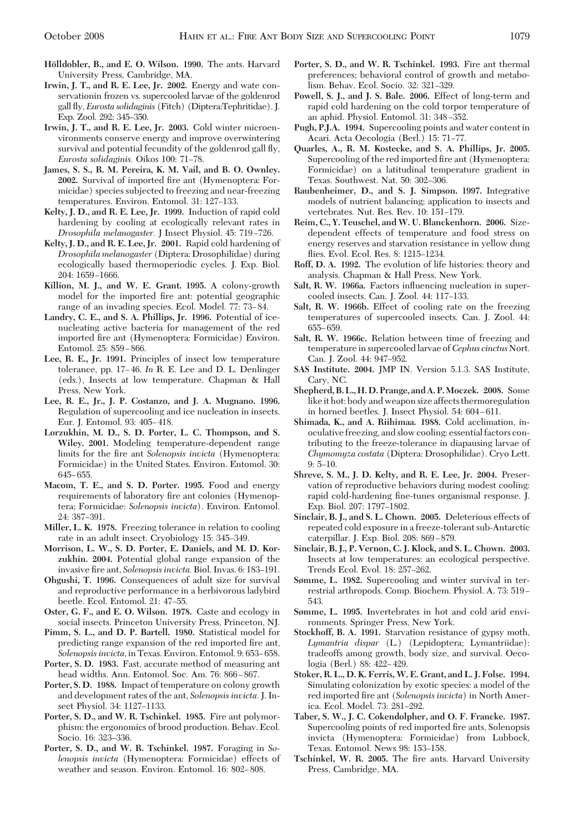- **Ho¨lldobler, B., and E. O. Wilson. 1990.** The ants. Harvard University Press, Cambridge, MA.
- **Irwin, J. T., and R. E. Lee, Jr. 2002.** Energy and wate conservationin frozen vs. supercooled larvae of the goldenrod gall ßy, *Eurosta solidaginis* (Fitch) (Diptera:Tephritidae). J. Exp. Zool. 292: 345-350.
- **Irwin, J. T., and R. E. Lee, Jr. 2003.** Cold winter microenvironments conserve energy and improve overwintering survival and potential fecundity of the goldenrod gall ßy, *Eurosta solidaginis.* Oikos 100: 71–78.
- **James, S. S., R. M. Pereira, K. M. Vail, and B. O. Ownley. 2002.** Survival of imported fire ant (Hymenoptera: Formicidae) species subjected to freezing and near-freezing temperatures. Environ. Entomol. 31: 127-133.
- **Kelty, J. D., and R. E. Lee, Jr. 1999.** Induction of rapid cold hardening by cooling at ecologically relevant rates in *Drosophila melanogaster.* J Insect Physiol. 45: 719-726.
- **Kelty, J. D., and R. E. Lee, Jr. 2001.** Rapid cold hardening of *Drosophila melanogaster* (Diptera: Drosophilidae) during ecologically based thermoperiodic cycles. J. Exp. Biol.  $204 \cdot 1659 - 1666$
- **Killion, M. J., and W. E. Grant. 1995.** A colony-growth model for the imported fire ant: potential geographic range of an invading species. Ecol. Model. 77: 73–84.
- **Landry, C. E., and S. A. Phillips, Jr. 1996.** Potential of icenucleating active bacteria for management of the red imported fire ant (Hymenoptera: Formicidae) Environ. Entomol. 25: 859-866.
- **Lee, R. E., Jr. 1991.** Principles of insect low temperature tolerance, pp. 17-46. In R. E. Lee and D. L. Denlinger (eds.), Insects at low temperature. Chapman & Hall Press, New York.
- **Lee, R. E., Jr., J. P. Costanzo, and J. A. Mugnano. 1996.** Regulation of supercooling and ice nucleation in insects. Eur. J. Entomol. 93: 405-418.
- **Lorzukhin, M. D., S. D. Porter, L. C. Thompson, and S. Wiley. 2001.** Modeling temperature-dependent range limits for the fire ant *Solenopsis invicta* (Hymenoptera: Formicidae) in the United States. Environ. Entomol. 30: 645–655.
- **Macom, T. E., and S. D. Porter. 1995.** Food and energy requirements of laboratory fire ant colonies (Hymenoptera; Formicidae: *Solenopsis invicta*). Environ. Entomol. 24: 387-391.
- **Miller, L. K. 1978.** Freezing tolerance in relation to cooling rate in an adult insect. Cryobiology 15: 345-349.
- **Morrison, L. W., S. D. Porter, E. Daniels, and M. D. Korzukhin. 2004.** Potential global range expansion of the invasive fire ant, *Solenopsis invicta*. Biol. Invas. 6: 183-191.
- **Ohgushi, T. 1996.** Consequences of adult size for survival and reproductive performance in a herbivorous ladybird beetle. Ecol. Entomol. 21: 47-55.
- **Oster, G. F., and E. O. Wilson. 1978.** Caste and ecology in social insects. Princeton University Press, Princeton, NJ.
- **Pimm, S. L., and D. P. Bartell. 1980.** Statistical model for predicting range expansion of the red imported fire ant, *Solenopsis invicta,* in Texas. Environ. Entomol. 9: 653-658.
- **Porter, S. D. 1983.** Fast, accurate method of measuring ant head widths. Ann. Entomol. Soc. Am. 76: 866-867.
- **Porter, S. D. 1988.** Impact of temperature on colony growth and development rates of the ant, *Solenopsis invicta.*J. Insect Physiol. 34: 1127-1133.
- **Porter, S. D., and W. R. Tschinkel. 1985.** Fire ant polymorphism: the ergonomics of brood production. Behav. Ecol. Socio. 16: 323-336.
- **Porter, S. D., and W. R. Tschinkel. 1987.** Foraging in *Solenopsis invicta* (Hymenoptera: Formicidae) effects of weather and season. Environ. Entomol. 16: 802–808.
- **Porter, S. D., and W. R. Tschinkel. 1993.** Fire ant thermal preferences; behavioral control of growth and metabolism. Behav. Ecol. Socio. 32: 321-329.
- **Powell, S. J., and J. S. Bale. 2006.** Effect of long-term and rapid cold hardening on the cold torpor temperature of an aphid. Physiol. Entomol. 31: 348-352.
- **Pugh, P.J.A. 1994.** Supercooling points and water content in Acari. Acta Oecologia (Berl.) 15: 71-77.
- **Quarles, A., R. M. Kostecke, and S. A. Phillips, Jr. 2005.** Supercooling of the red imported fire ant (Hymenoptera: Formicidae) on a latitudinal temperature gradient in Texas. Southwest. Nat. 50: 302-306.
- **Raubenheimer, D., and S. J. Simpson. 1997.** Integrative models of nutrient balancing; application to insects and vertebrates. Nut. Res. Rev. 10: 151-179.
- **Reim, C., Y. Teuschel, and W. U. Blanckenhorn. 2006.** Sizedependent effects of temperature and food stress on energy reserves and starvation resistance in yellow dung flies. Evol. Ecol. Res. 8: 1215-1234.
- **Roff, D. A. 1992.** The evolution of life histories: theory and analysis. Chapman & Hall Press, New York.
- **Salt, R. W. 1966a.** Factors inßuencing nucleation in supercooled insects. Can. J. Zool. 44: 117-133.
- **Salt, R. W. 1966b.** Effect of cooling rate on the freezing temperatures of supercooled insects. Can. J. Zool. 44: 655Ð 659.
- **Salt, R. W. 1966c.** Relation between time of freezing and temperature in supercooled larvae of*Cephus cinctus*Nort. Can. J. Zool. 44: 947-952.
- **SAS Institute. 2004.** JMP IN. Version 5.1.3. SAS Institute, Cary, NC.
- **Shepherd, B. L.,H.D. Prange, and A. P.Moczek. 2008.** Some like it hot: body and weapon size affects thermoregulation in horned beetles. J. Insect Physiol. 54: 604-611.
- **Shimada, K., and A. Riihimaa. 1988.** Cold acclimation, inoculative freezing, and slow cooling: essential factors contributing to the freeze-tolerance in diapausing larvae of *Chymomyza costata* (Diptera: Drosophilidae). Cryo Lett.  $9:5-10.$
- **Shreve, S. M., J. D. Kelty, and R. E. Lee, Jr. 2004.** Preservation of reproductive behaviors during modest cooling: rapid cold-hardening fine-tunes organismal response. J. Exp. Biol. 207: 1797-1802.
- **Sinclair, B. J., and S. L. Chown. 2005.** Deleterious effects of repeated cold exposure in a freeze-tolerant sub-Antarctic caterpillar. J. Exp. Biol. 208: 869-879.
- **Sinclair, B. J., P. Vernon, C. J. Klock, and S. L. Chown. 2003.** Insects at low temperatures: an ecological perspective. Trends Ecol. Evol. 18: 257-262.
- **Sømme, L. 1982.** Supercooling and winter survival in terrestrial arthropods. Comp. Biochem. Physiol. A. 73: 519 – 543.
- **Sømme, L. 1995.** Invertebrates in hot and cold arid environments. Springer Press, New York.
- **Stockhoff, B. A. 1991.** Starvation resistance of gypsy moth, *Lymantria dispar* (L.) (Lepidoptera; Lymantriidae): tradeoffs among growth, body size, and survival. Oecologia (Berl.) 88: 422–429.
- **Stoker, R. L., D. K. Ferris, W. E. Grant, and L. J. Folse. 1994.** Simulating colonization by exotic species: a model of the red imported fire ant (*Solenopsis invicta*) in North America. Ecol. Model. 73: 281-292.
- **Taber, S. W., J. C. Cokendolpher, and O. F. Francke. 1987.** Supercooling points of red imported fire ants, Solenopsis invicta (Hymenoptera: Formicidae) from Lubbock, Texas. Entomol. News 98: 153-158.
- Tschinkel, W. R. 2005. The fire ants. Harvard University Press, Cambridge, MA.